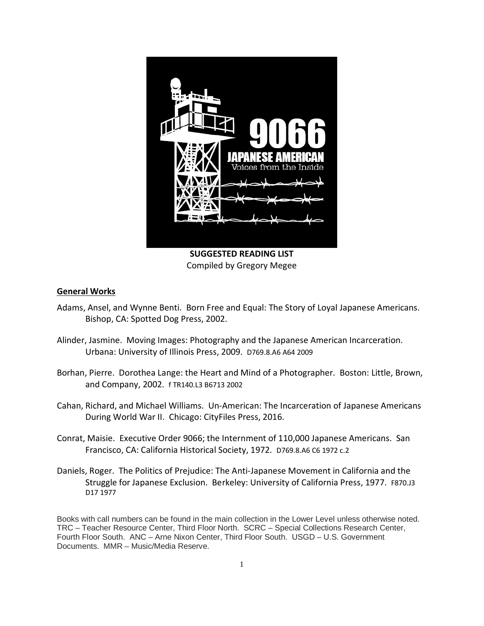

Compiled by Gregory Megee

# **General Works**

- Adams, Ansel, and Wynne Benti. Born Free and Equal: The Story of Loyal Japanese Americans. Bishop, CA: Spotted Dog Press, 2002.
- Alinder, Jasmine. Moving Images: Photography and the Japanese American Incarceration. Urbana: University of Illinois Press, 2009. D769.8.A6 A64 2009
- Borhan, Pierre. Dorothea Lange: the Heart and Mind of a Photographer. Boston: Little, Brown, and Company, 2002. f TR140.L3 B6713 2002
- Cahan, Richard, and Michael Williams. Un-American: The Incarceration of Japanese Americans During World War II. Chicago: CityFiles Press, 2016.
- Conrat, Maisie. Executive Order 9066; the Internment of 110,000 Japanese Americans. San Francisco, CA: California Historical Society, 1972. D769.8.A6 C6 1972 c.2
- Daniels, Roger. The Politics of Prejudice: The Anti-Japanese Movement in California and the Struggle for Japanese Exclusion. Berkeley: University of California Press, 1977. F870.J3 D17 1977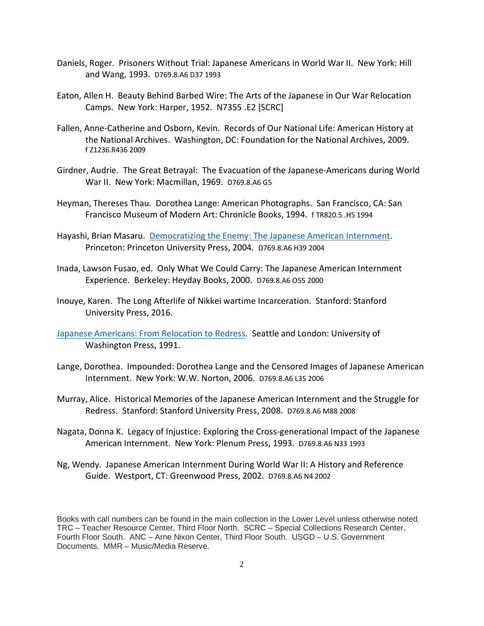- Daniels, Roger. Prisoners Without Trial: Japanese Americans in World War II. New York: Hill and Wang, 1993. D769.8.A6 D37 1993
- Eaton, Allen H. Beauty Behind Barbed Wire: The Arts of the Japanese in Our War Relocation Camps. New York: Harper, 1952. N7355 .E2 [SCRC]
- Fallen, Anne-Catherine and Osborn, Kevin. Records of Our National Life: American History at the National Archives. Washington, DC: Foundation for the National Archives, 2009. f Z1236.R436 2009
- Girdner, Audrie. The Great Betrayal: The Evacuation of the Japanese-Americans during World War II. New York: Macmillan, 1969. D769.8.A6 G5
- Heyman, Thereses Thau. Dorothea Lange: American Photographs. San Francisco, CA: San Francisco Museum of Modern Art: Chronicle Books, 1994. f TR820.5 .H5 1994
- Hayashi, Brian Masaru. [Democratizing the Enemy: The Japanese American Internment.](https://xerxes.calstate.edu/fresno/books/record?id=b3289600) Princeton: Princeton University Press, 2004. D769.8.A6 H39 2004
- Inada, Lawson Fusao, ed. Only What We Could Carry: The Japanese American Internment Experience. Berkeley: Heyday Books, 2000. D769.8.A6 O55 2000
- Inouye, Karen. The Long Afterlife of Nikkei wartime Incarceration. Stanford: Stanford University Press, 2016.
- [Japanese Americans: From Relocation to Redress.](https://xerxes.calstate.edu/fresno/books/record?id=b6762267) Seattle and London: University of Washington Press, 1991.
- Lange, Dorothea. Impounded: Dorothea Lange and the Censored Images of Japanese American Internment. New York: W.W. Norton, 2006. D769.8.A6 L35 2006
- Murray, Alice. Historical Memories of the Japanese American Internment and the Struggle for Redress. Stanford: Stanford University Press, 2008. D769.8.A6 M88 2008
- Nagata, Donna K. Legacy of Injustice: Exploring the Cross-generational Impact of the Japanese American Internment. New York: Plenum Press, 1993. D769.8.A6 N33 1993
- Ng, Wendy. Japanese American Internment During World War II: A History and Reference Guide. Westport, CT: Greenwood Press, 2002. D769.8.A6 N4 2002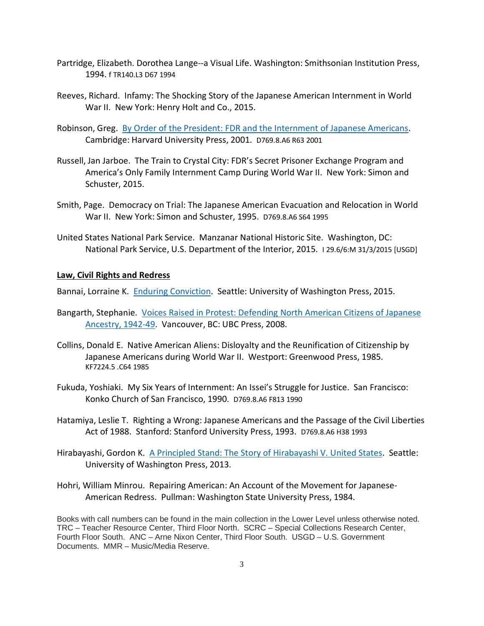- Partridge, Elizabeth. Dorothea Lange--a Visual Life. Washington: Smithsonian Institution Press, 1994. f TR140.L3 D67 1994
- Reeves, Richard. Infamy: The Shocking Story of the Japanese American Internment in World War II. New York: Henry Holt and Co., 2015.
- Robinson, Greg. [By Order of the President: FDR and the Internment of Japanese Americans.](https://xerxes.calstate.edu/fresno/books/record?id=b3023425) Cambridge: Harvard University Press, 2001. D769.8.A6 R63 2001
- Russell, Jan Jarboe. The Train to Crystal City: FDR's Secret Prisoner Exchange Program and America's Only Family Internment Camp During World War II. New York: Simon and Schuster, 2015.
- Smith, Page. Democracy on Trial: The Japanese American Evacuation and Relocation in World War II. New York: Simon and Schuster, 1995. D769.8.A6 S64 1995
- United States National Park Service. Manzanar National Historic Site. Washington, DC: National Park Service, U.S. Department of the Interior, 2015. I 29.6/6:M 31/3/2015 [USGD]

### **Law, Civil Rights and Redress**

Bannai, Lorraine K. [Enduring Conviction.](https://xerxes.calstate.edu/fresno/books/record?id=b7686645) Seattle: University of Washington Press, 2015.

- Bangarth, Stephanie. [Voices Raised in Protest: Defending North American Citizens of Japanese](https://xerxes.calstate.edu/fresno/books/record?id=b7505748)  [Ancestry, 1942-49.](https://xerxes.calstate.edu/fresno/books/record?id=b7505748) Vancouver, BC: UBC Press, 2008.
- Collins, Donald E. Native American Aliens: Disloyalty and the Reunification of Citizenship by Japanese Americans during World War II. Westport: Greenwood Press, 1985. KF7224.5 .C64 1985
- Fukuda, Yoshiaki. My Six Years of Internment: An Issei's Struggle for Justice. San Francisco: Konko Church of San Francisco, 1990. D769.8.A6 F813 1990
- Hatamiya, Leslie T. Righting a Wrong: Japanese Americans and the Passage of the Civil Liberties Act of 1988. Stanford: Stanford University Press, 1993. D769.8.A6 H38 1993
- Hirabayashi, Gordon K. [A Principled Stand: The Story of Hirabayashi V. United States.](https://xerxes.calstate.edu/fresno/books/record?id=b5770312) Seattle: University of Washington Press, 2013.
- Hohri, William Minrou. Repairing American: An Account of the Movement for Japanese-American Redress. Pullman: Washington State University Press, 1984.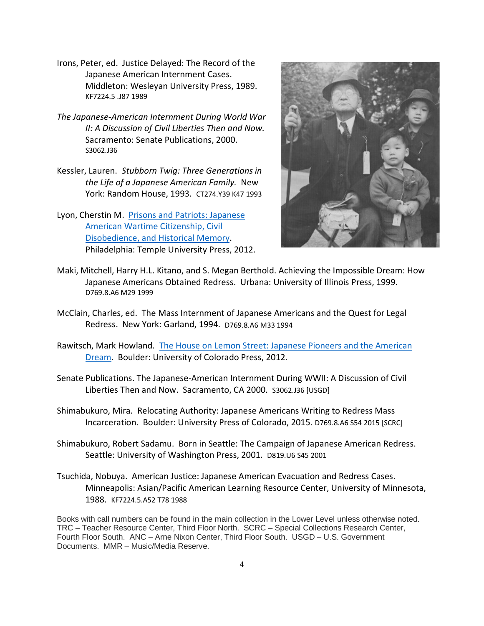- Irons, Peter, ed. Justice Delayed: The Record of the Japanese American Internment Cases. Middleton: Wesleyan University Press, 1989. KF7224.5 .J87 1989
- *The Japanese-American Internment During World War II: A Discussion of Civil Liberties Then and Now.* Sacramento: Senate Publications, 2000. S3062.J36
- Kessler, Lauren. *Stubborn Twig: Three Generations in the Life of a Japanese American Family.* New York: Random House, 1993. CT274.Y39 K47 1993
- Lyon, Cherstin M. [Prisons and Patriots: Japanese](https://xerxes.calstate.edu/fresno/books/record?id=b4069868)  [American Wartime Citizenship, Civil](https://xerxes.calstate.edu/fresno/books/record?id=b4069868)  [Disobedience, and Historical Memory.](https://xerxes.calstate.edu/fresno/books/record?id=b4069868) Philadelphia: Temple University Press, 2012.



- Maki, Mitchell, Harry H.L. Kitano, and S. Megan Berthold. Achieving the Impossible Dream: How Japanese Americans Obtained Redress. Urbana: University of Illinois Press, 1999. D769.8.A6 M29 1999
- McClain, Charles, ed. The Mass Internment of Japanese Americans and the Quest for Legal Redress. New York: Garland, 1994. D769.8.A6 M33 1994
- Rawitsch, Mark Howland. [The House on Lemon Street: Japanese Pioneers and the American](https://xerxes.calstate.edu/fresno/books/record?id=b4508251)  [Dream.](https://xerxes.calstate.edu/fresno/books/record?id=b4508251) Boulder: University of Colorado Press, 2012.
- Senate Publications. The Japanese-American Internment During WWII: A Discussion of Civil Liberties Then and Now. Sacramento, CA 2000. S3062.J36 [USGD]
- Shimabukuro, Mira. Relocating Authority: Japanese Americans Writing to Redress Mass Incarceration. Boulder: University Press of Colorado, 2015. D769.8.A6 S54 2015 [SCRC]
- Shimabukuro, Robert Sadamu. Born in Seattle: The Campaign of Japanese American Redress. Seattle: University of Washington Press, 2001. D819.U6 S45 2001
- Tsuchida, Nobuya. American Justice: Japanese American Evacuation and Redress Cases. Minneapolis: Asian/Pacific American Learning Resource Center, University of Minnesota, 1988. KF7224.5.A52 T78 1988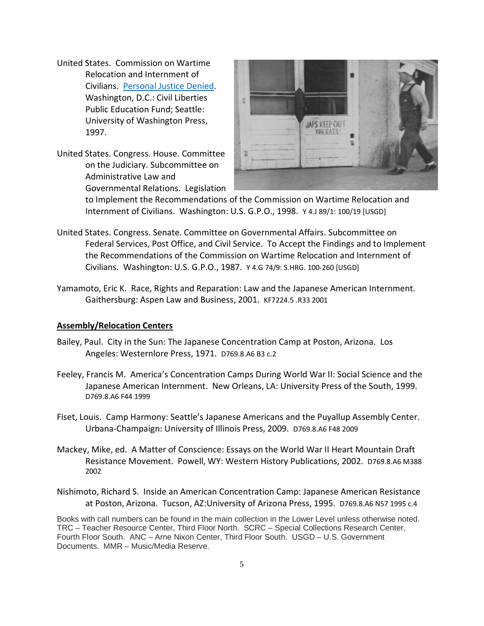- United States. Commission on Wartime Relocation and Internment of Civilians. [Personal Justice Denied.](https://xerxes.calstate.edu/fresno/books/record?id=b4072060) Washington, D.C.: Civil Liberties Public Education Fund; Seattle: University of Washington Press, 1997.
- United States. Congress. House. Committee on the Judiciary. Subcommittee on Administrative Law and Governmental Relations. Legislation



to Implement the Recommendations of the Commission on Wartime Relocation and Internment of Civilians. Washington: U.S. G.P.O., 1998. Y 4.J 89/1: 100/19 [USGD]

- United States. Congress. Senate. Committee on Governmental Affairs. Subcommittee on Federal Services, Post Office, and Civil Service. To Accept the Findings and to Implement the Recommendations of the Commission on Wartime Relocation and Internment of Civilians. Washington: U.S. G.P.O., 1987. Y 4.G 74/9: S.HRG. 100-260 [USGD]
- Yamamoto, Eric K. Race, Rights and Reparation: Law and the Japanese American Internment. Gaithersburg: Aspen Law and Business, 2001. KF7224.5 .R33 2001

### **Assembly/Relocation Centers**

- Bailey, Paul. City in the Sun: The Japanese Concentration Camp at Poston, Arizona. Los Angeles: Westernlore Press, 1971. D769.8.A6 B3 c.2
- Feeley, Francis M. America's Concentration Camps During World War II: Social Science and the Japanese American Internment. New Orleans, LA: University Press of the South, 1999. D769.8.A6 F44 1999
- Fiset, Louis. Camp Harmony: Seattle's Japanese Americans and the Puyallup Assembly Center. Urbana-Champaign: University of Illinois Press, 2009. D769.8.A6 F48 2009
- Mackey, Mike, ed. A Matter of Conscience: Essays on the World War II Heart Mountain Draft Resistance Movement. Powell, WY: Western History Publications, 2002. D769.8.A6 M388 2002
- Nishimoto, Richard S. Inside an American Concentration Camp: Japanese American Resistance at Poston, Arizona. Tucson, AZ:University of Arizona Press, 1995. D769.8.A6 N57 1995 c.4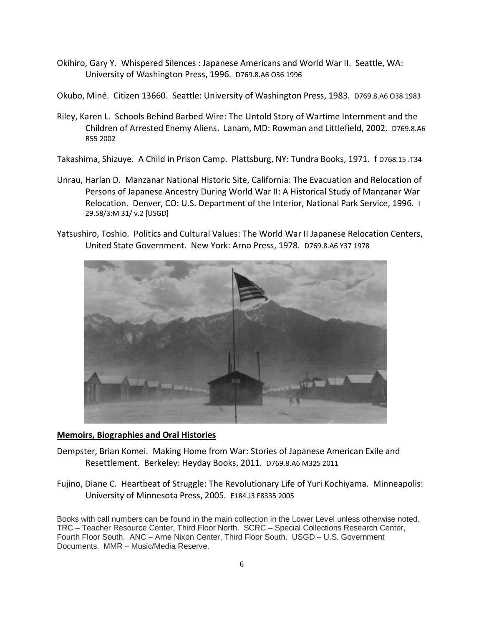- Okihiro, Gary Y. Whispered Silences : Japanese Americans and World War II. Seattle, WA: University of Washington Press, 1996. D769.8.A6 O36 1996
- Okubo, Miné. Citizen 13660. Seattle: University of Washington Press, 1983. D769.8.A6 O38 1983
- Riley, Karen L. Schools Behind Barbed Wire: The Untold Story of Wartime Internment and the Children of Arrested Enemy Aliens. Lanam, MD: Rowman and Littlefield, 2002. D769.8.A6 R55 2002
- Takashima, Shizuye. A Child in Prison Camp. Plattsburg, NY: Tundra Books, 1971. f D768.15 .T34
- Unrau, Harlan D. Manzanar National Historic Site, California: The Evacuation and Relocation of Persons of Japanese Ancestry During World War II: A Historical Study of Manzanar War Relocation. Denver, CO: U.S. Department of the Interior, National Park Service, 1996. I 29.58/3:M 31/ v.2 [USGD]
- Yatsushiro, Toshio. Politics and Cultural Values: The World War II Japanese Relocation Centers, United State Government. New York: Arno Press, 1978. D769.8.A6 Y37 1978



# **Memoirs, Biographies and Oral Histories**

- Dempster, Brian Komei. Making Home from War: Stories of Japanese American Exile and Resettlement. Berkeley: Heyday Books, 2011. D769.8.A6 M325 2011
- Fujino, Diane C. Heartbeat of Struggle: The Revolutionary Life of Yuri Kochiyama. Minneapolis: University of Minnesota Press, 2005. E184.J3 F8335 2005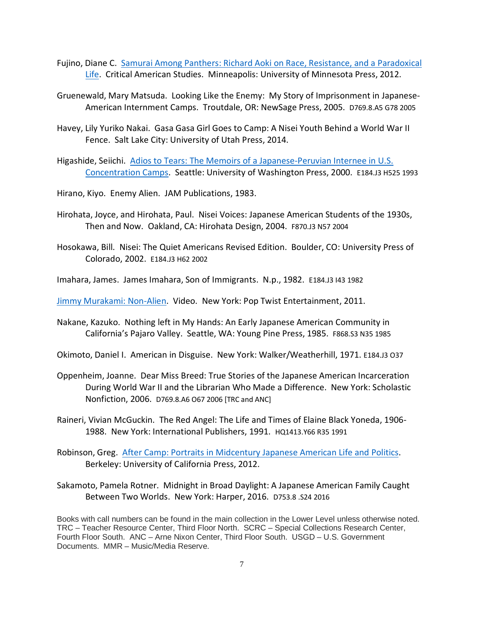- Fujino, Diane C. [Samurai Among Panthers: Richard Aoki on Race, Resistance, and a Paradoxical](https://xerxes.calstate.edu/fresno/books/record?id=b4133295)  [Life.](https://xerxes.calstate.edu/fresno/books/record?id=b4133295) Critical American Studies. Minneapolis: University of Minnesota Press, 2012.
- Gruenewald, Mary Matsuda. Looking Like the Enemy: My Story of Imprisonment in Japanese-American Internment Camps. Troutdale, OR: NewSage Press, 2005. D769.8.A5 G78 2005
- Havey, Lily Yuriko Nakai. Gasa Gasa Girl Goes to Camp: A Nisei Youth Behind a World War II Fence. Salt Lake City: University of Utah Press, 2014.
- Higashide, Seiichi. [Adios to Tears: The Memoirs of a Japanese-Peruvian Internee in U.S.](https://xerxes.calstate.edu/fresno/books/record?id=b4506858)  [Concentration](https://xerxes.calstate.edu/fresno/books/record?id=b4506858) Camps. Seattle: University of Washington Press, 2000. E184.J3 H525 1993
- Hirano, Kiyo. Enemy Alien. JAM Publications, 1983.
- Hirohata, Joyce, and Hirohata, Paul. Nisei Voices: Japanese American Students of the 1930s, Then and Now. Oakland, CA: Hirohata Design, 2004. F870.J3 N57 2004
- Hosokawa, Bill. Nisei: The Quiet Americans Revised Edition. Boulder, CO: University Press of Colorado, 2002. E184.J3 H62 2002
- Imahara, James. James Imahara, Son of Immigrants. N.p., 1982. E184.J3 I43 1982

[Jimmy Murakami: Non-Alien.](https://xerxes.calstate.edu/fresno/books/record?id=b7119046) Video. New York: Pop Twist Entertainment, 2011.

- Nakane, Kazuko. Nothing left in My Hands: An Early Japanese American Community in California's Pajaro Valley. Seattle, WA: Young Pine Press, 1985. F868.S3 N35 1985
- Okimoto, Daniel I. American in Disguise. New York: Walker/Weatherhill, 1971. E184.J3 O37
- Oppenheim, Joanne. Dear Miss Breed: True Stories of the Japanese American Incarceration During World War II and the Librarian Who Made a Difference. New York: Scholastic Nonfiction, 2006. D769.8.A6 O67 2006 [TRC and ANC]
- Raineri, Vivian McGuckin. The Red Angel: The Life and Times of Elaine Black Yoneda, 1906- 1988. New York: International Publishers, 1991. HQ1413.Y66 R35 1991
- Robinson, Greg. [After Camp: Portraits in Midcentury Japanese American](https://xerxes.calstate.edu/fresno/books/record?id=b4070894) Life and Politics. Berkeley: University of California Press, 2012.
- Sakamoto, Pamela Rotner. Midnight in Broad Daylight: A Japanese American Family Caught Between Two Worlds. New York: Harper, 2016. D753.8 .S24 2016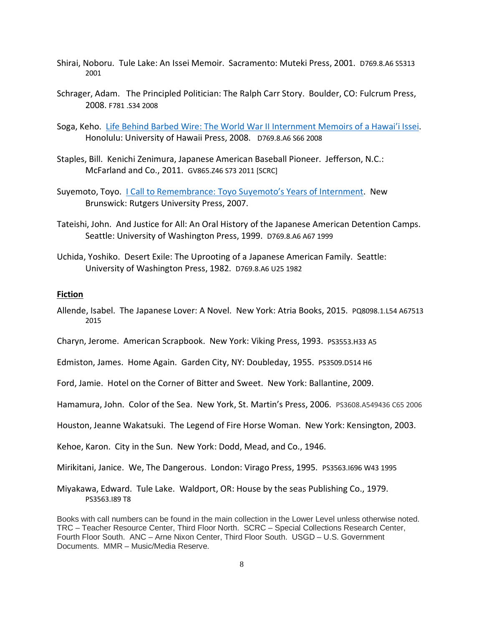- Shirai, Noboru. Tule Lake: An Issei Memoir. Sacramento: Muteki Press, 2001. D769.8.A6 S5313 2001
- Schrager, Adam. The Principled Politician: The Ralph Carr Story. Boulder, CO: Fulcrum Press, 2008. F781 .S34 2008
- Soga, Keho. [Life Behind Barbed Wire: The World War II Internment Memoirs of a Hawai'i Issei.](https://xerxes.calstate.edu/fresno/books/record?id=b3028567) Honolulu: University of Hawaii Press, 2008. D769.8.A6 S66 2008
- Staples, Bill. Kenichi Zenimura, Japanese American Baseball Pioneer. Jefferson, N.C.: McFarland and Co., 2011. GV865.Z46 S73 2011 [SCRC]
- Suyemoto, Toyo. [I Call to Remembrance: Toyo Suyemoto's Years of Internment.](https://xerxes.calstate.edu/fresno/books/record?id=b2747844) New Brunswick: Rutgers University Press, 2007.
- Tateishi, John. And Justice for All: An Oral History of the Japanese American Detention Camps. Seattle: University of Washington Press, 1999. D769.8.A6 A67 1999
- Uchida, Yoshiko. Desert Exile: The Uprooting of a Japanese American Family. Seattle: University of Washington Press, 1982. D769.8.A6 U25 1982

#### **Fiction**

- Allende, Isabel. The Japanese Lover: A Novel. New York: Atria Books, 2015. PQ8098.1.L54 A67513 2015
- Charyn, Jerome. American Scrapbook. New York: Viking Press, 1993. PS3553.H33 A5
- Edmiston, James. Home Again. Garden City, NY: Doubleday, 1955. PS3509.D514 H6
- Ford, Jamie. Hotel on the Corner of Bitter and Sweet. New York: Ballantine, 2009.
- Hamamura, John. Color of the Sea. New York, St. Martin's Press, 2006. PS3608.A549436 C65 2006
- Houston, Jeanne Wakatsuki. The Legend of Fire Horse Woman. New York: Kensington, 2003.
- Kehoe, Karon. City in the Sun. New York: Dodd, Mead, and Co., 1946.
- Mirikitani, Janice. We, The Dangerous. London: Virago Press, 1995. PS3563.I696 W43 1995
- Miyakawa, Edward. Tule Lake. Waldport, OR: House by the seas Publishing Co., 1979. PS3563.I89 T8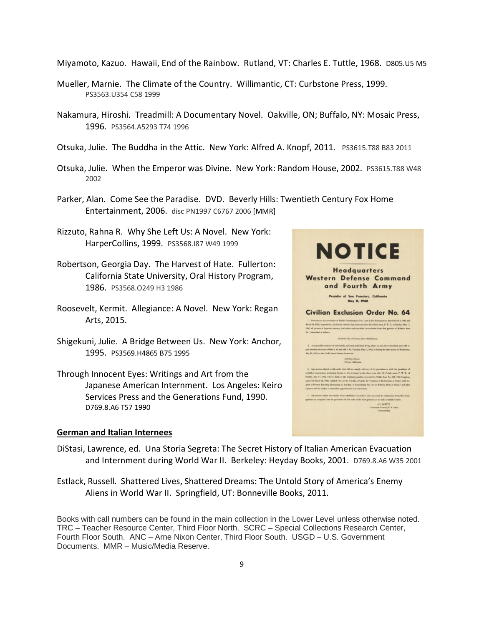Miyamoto, Kazuo. Hawaii, End of the Rainbow. Rutland, VT: Charles E. Tuttle, 1968. D805.U5 M5

- Mueller, Marnie. The Climate of the Country. Willimantic, CT: Curbstone Press, 1999. PS3563.U354 C58 1999
- Nakamura, Hiroshi. Treadmill: A Documentary Novel. Oakville, ON; Buffalo, NY: Mosaic Press, 1996. PS3564.A5293 T74 1996
- Otsuka, Julie. The Buddha in the Attic. New York: Alfred A. Knopf, 2011. PS3615.T88 B83 2011
- Otsuka, Julie. When the Emperor was Divine. New York: Random House, 2002. PS3615.T88 W48 2002
- Parker, Alan. Come See the Paradise. DVD. Beverly Hills: Twentieth Century Fox Home Entertainment, 2006. disc PN1997 C6767 2006 [MMR]
- Rizzuto, Rahna R. Why She Left Us: A Novel. New York: HarperCollins, 1999. PS3568.I87 W49 1999
- Robertson, Georgia Day. The Harvest of Hate. Fullerton: California State University, Oral History Program, 1986. PS3568.O249 H3 1986
- Roosevelt, Kermit. Allegiance: A Novel. New York: Regan Arts, 2015.
- Shigekuni, Julie. A Bridge Between Us. New York: Anchor, 1995. PS3569.H4865 B75 1995
- Through Innocent Eyes: Writings and Art from the Japanese American Internment. Los Angeles: Keiro Services Press and the Generations Fund, 1990. D769.8.A6 T57 1990

#### **German and Italian Internees**



- DiStasi, Lawrence, ed. Una Storia Segreta: The Secret History of Italian American Evacuation and Internment during World War II. Berkeley: Heyday Books, 2001. D769.8.A6 W35 2001
- Estlack, Russell. Shattered Lives, Shattered Dreams: The Untold Story of America's Enemy Aliens in World War II. Springfield, UT: Bonneville Books, 2011.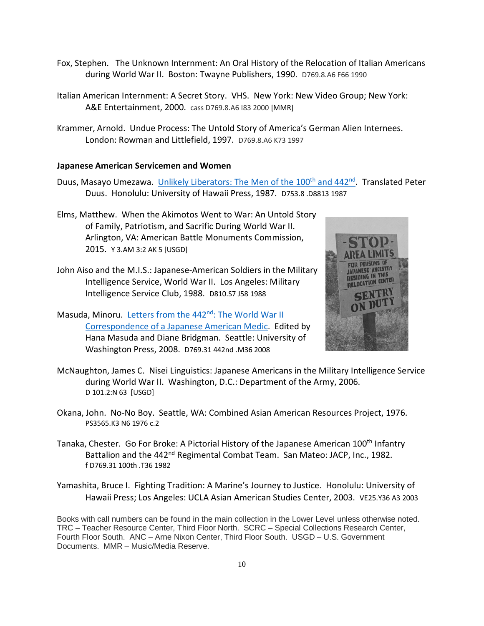- Fox, Stephen. The Unknown Internment: An Oral History of the Relocation of Italian Americans during World War II. Boston: Twayne Publishers, 1990. D769.8.A6 F66 1990
- Italian American Internment: A Secret Story. VHS. New York: New Video Group; New York: A&E Entertainment, 2000. cass D769.8.A6 I83 2000 [MMR]
- Krammer, Arnold. Undue Process: The Untold Story of America's German Alien Internees. London: Rowman and Littlefield, 1997. D769.8.A6 K73 1997

### **Japanese American Servicemen and Women**

- Duus, Masayo Umezawa. Unlikely Liberators: The Men of the 100<sup>th</sup> and 442<sup>nd</sup>. Translated Peter Duus. Honolulu: University of Hawaii Press, 1987. D753.8 .D8813 1987
- Elms, Matthew. When the Akimotos Went to War: An Untold Story of Family, Patriotism, and Sacrific During World War II. Arlington, VA: American Battle Monuments Commission, 2015. Y 3.AM 3:2 AK 5 [USGD]
- John Aiso and the M.I.S.: Japanese-American Soldiers in the Military Intelligence Service, World War II. Los Angeles: Military Intelligence Service Club, 1988. D810.S7 J58 1988
- Masuda, Minoru. Letters from the 442<sup>nd</sup>: The World War II [Correspondence of a Japanese American Medic.](https://xerxes.calstate.edu/fresno/books/record?id=b3635941) Edited by Hana Masuda and Diane Bridgman. Seattle: University of Washington Press, 2008. D769.31 442nd .M36 2008



- McNaughton, James C. Nisei Linguistics: Japanese Americans in the Military Intelligence Service during World War II. Washington, D.C.: Department of the Army, 2006. D 101.2:N 63 [USGD]
- Okana, John. No-No Boy. Seattle, WA: Combined Asian American Resources Project, 1976. PS3565.K3 N6 1976 c.2
- Tanaka, Chester. Go For Broke: A Pictorial History of the Japanese American 100<sup>th</sup> Infantry Battalion and the 442<sup>nd</sup> Regimental Combat Team. San Mateo: JACP, Inc., 1982. f D769.31 100th .T36 1982
- Yamashita, Bruce I. Fighting Tradition: A Marine's Journey to Justice. Honolulu: University of Hawaii Press; Los Angeles: UCLA Asian American Studies Center, 2003. VE25.Y36 A3 2003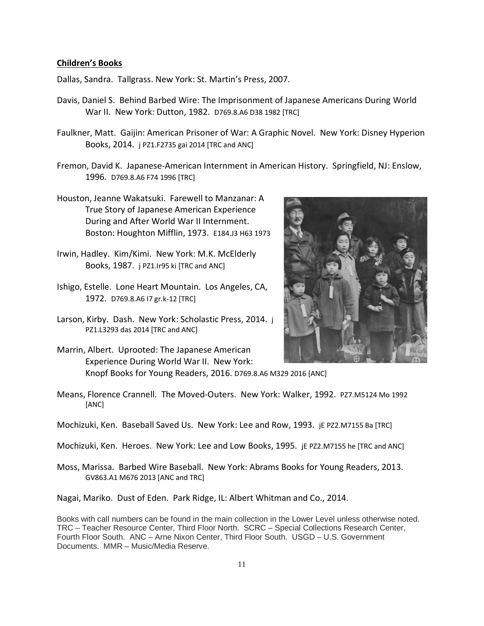#### **Children's Books**

Dallas, Sandra. Tallgrass. New York: St. Martin's Press, 2007.

- Davis, Daniel S. Behind Barbed Wire: The Imprisonment of Japanese Americans During World War II. New York: Dutton, 1982. D769.8.A6 D38 1982 [TRC]
- Faulkner, Matt. Gaijin: American Prisoner of War: A Graphic Novel. New York: Disney Hyperion Books, 2014. j PZ1.F2735 gai 2014 [TRC and ANC]
- Fremon, David K. Japanese-American Internment in American History. Springfield, NJ: Enslow, 1996. D769.8.A6 F74 1996 [TRC]
- Houston, Jeanne Wakatsuki. Farewell to Manzanar: A True Story of Japanese American Experience During and After World War II Internment. Boston: Houghton Mifflin, 1973. E184.J3 H63 1973
- Irwin, Hadley. Kim/Kimi. New York: M.K. McElderly Books, 1987. j PZ1.Ir95 ki [TRC and ANC]
- Ishigo, Estelle. Lone Heart Mountain. Los Angeles, CA, 1972. D769.8.A6 I7 gr.k-12 [TRC]
- Larson, Kirby. Dash. New York: Scholastic Press, 2014. j PZ1.L3293 das 2014 [TRC and ANC]
- Marrin, Albert. Uprooted: The Japanese American Experience During World War II. New York: Knopf Books for Young Readers, 2016. D769.8.A6 M329 2016 [ANC]



- Means, Florence Crannell. The Moved-Outers. New York: Walker, 1992. PZ7.M5124 Mo 1992 [ANC]
- Mochizuki, Ken. Baseball Saved Us. New York: Lee and Row, 1993. jE PZ2.M7155 Ba [TRC]

Mochizuki, Ken. Heroes. New York: Lee and Low Books, 1995. jE PZ2.M7155 he [TRC and ANC]

Moss, Marissa. Barbed Wire Baseball. New York: Abrams Books for Young Readers, 2013. GV863.A1 M676 2013 [ANC and TRC]

Nagai, Mariko. Dust of Eden. Park Ridge, IL: Albert Whitman and Co., 2014.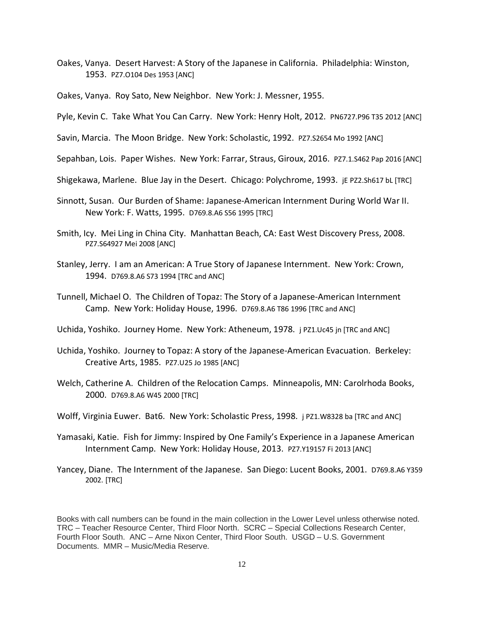Oakes, Vanya. Desert Harvest: A Story of the Japanese in California. Philadelphia: Winston, 1953. PZ7.O104 Des 1953 [ANC]

Oakes, Vanya. Roy Sato, New Neighbor. New York: J. Messner, 1955.

Pyle, Kevin C. Take What You Can Carry. New York: Henry Holt, 2012. PN6727.P96 T35 2012 [ANC]

Savin, Marcia. The Moon Bridge. New York: Scholastic, 1992. PZ7.S2654 Mo 1992 [ANC]

Sepahban, Lois. Paper Wishes. New York: Farrar, Straus, Giroux, 2016. PZ7.1.S462 Pap 2016 [ANC]

- Shigekawa, Marlene. Blue Jay in the Desert. Chicago: Polychrome, 1993. jE PZ2.Sh617 bL [TRC]
- Sinnott, Susan. Our Burden of Shame: Japanese-American Internment During World War II. New York: F. Watts, 1995. D769.8.A6 S56 1995 [TRC]
- Smith, Icy. Mei Ling in China City. Manhattan Beach, CA: East West Discovery Press, 2008. PZ7.S64927 Mei 2008 [ANC]
- Stanley, Jerry. I am an American: A True Story of Japanese Internment. New York: Crown, 1994. D769.8.A6 S73 1994 [TRC and ANC]
- Tunnell, Michael O. The Children of Topaz: The Story of a Japanese-American Internment Camp. New York: Holiday House, 1996. D769.8.A6 T86 1996 [TRC and ANC]
- Uchida, Yoshiko. Journey Home. New York: Atheneum, 1978. j PZ1.Uc45 jn [TRC and ANC]
- Uchida, Yoshiko. Journey to Topaz: A story of the Japanese-American Evacuation. Berkeley: Creative Arts, 1985. PZ7.U25 Jo 1985 [ANC]
- Welch, Catherine A. Children of the Relocation Camps. Minneapolis, MN: Carolrhoda Books, 2000. D769.8.A6 W45 2000 [TRC]
- Wolff, Virginia Euwer. Bat6. New York: Scholastic Press, 1998. j PZ1.W8328 ba [TRC and ANC]
- Yamasaki, Katie. Fish for Jimmy: Inspired by One Family's Experience in a Japanese American Internment Camp. New York: Holiday House, 2013. PZ7.Y19157 Fi 2013 [ANC]
- Yancey, Diane. The Internment of the Japanese. San Diego: Lucent Books, 2001. D769.8.A6 Y359 2002. [TRC]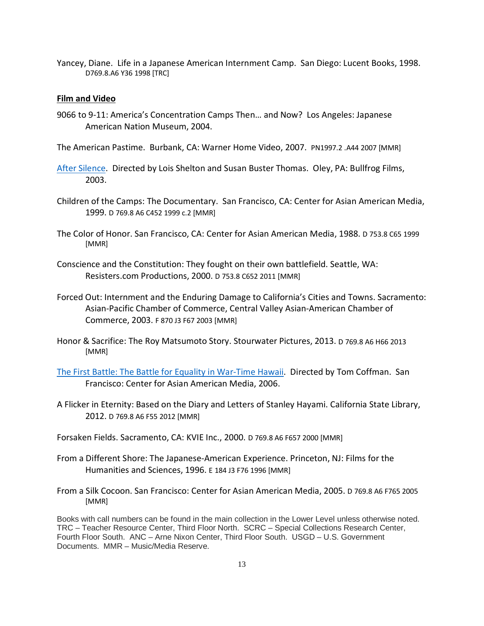Yancey, Diane. Life in a Japanese American Internment Camp. San Diego: Lucent Books, 1998. D769.8.A6 Y36 1998 [TRC]

#### **Film and Video**

- 9066 to 9-11: America's Concentration Camps Then… and Now? Los Angeles: Japanese American Nation Museum, 2004.
- The American Pastime. Burbank, CA: Warner Home Video, 2007. PN1997.2 .A44 2007 [MMR]
- [After Silence.](https://xerxes.calstate.edu/fresno/books/record?id=b7496611) Directed by Lois Shelton and Susan Buster Thomas. Oley, PA: Bullfrog Films, 2003.
- Children of the Camps: The Documentary. San Francisco, CA: Center for Asian American Media, 1999. D 769.8 A6 C452 1999 c.2 [MMR]
- The Color of Honor. San Francisco, CA: Center for Asian American Media, 1988. D 753.8 C65 1999 [MMR]
- Conscience and the Constitution: They fought on their own battlefield. Seattle, WA: Resisters.com Productions, 2000. D 753.8 C652 2011 [MMR]
- Forced Out: Internment and the Enduring Damage to California's Cities and Towns. Sacramento: Asian-Pacific Chamber of Commerce, Central Valley Asian-American Chamber of Commerce, 2003. F 870 J3 F67 2003 [MMR]
- Honor & Sacrifice: The Roy Matsumoto Story. Stourwater Pictures, 2013. D 769.8 A6 H66 2013 [MMR]
- [The First Battle: The Battle for Equality in War-Time Hawaii.](https://xerxes.calstate.edu/fresno/books/record?id=b7498317) Directed by Tom Coffman. San Francisco: Center for Asian American Media, 2006.
- A Flicker in Eternity: Based on the Diary and Letters of Stanley Hayami. California State Library, 2012. D 769.8 A6 F55 2012 [MMR]
- Forsaken Fields. Sacramento, CA: KVIE Inc., 2000. D 769.8 A6 F657 2000 [MMR]
- From a Different Shore: The Japanese-American Experience. Princeton, NJ: Films for the Humanities and Sciences, 1996. E 184 J3 F76 1996 [MMR]
- From a Silk Cocoon. San Francisco: Center for Asian American Media, 2005. D 769.8 A6 F765 2005 [MMR]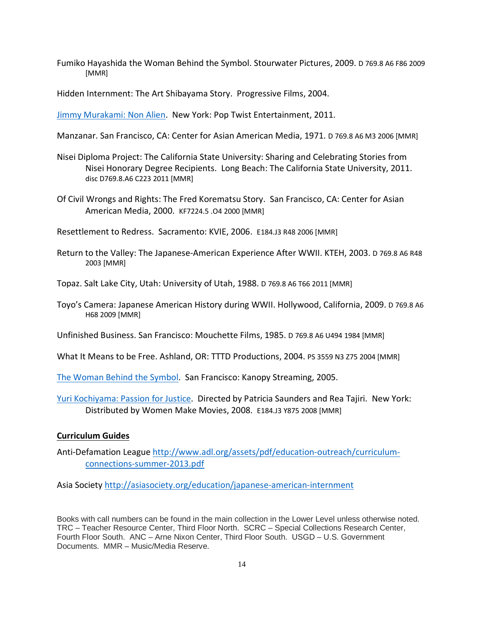Fumiko Hayashida the Woman Behind the Symbol. Stourwater Pictures, 2009. D 769.8 A6 F86 2009 [MMR]

Hidden Internment: The Art Shibayama Story. Progressive Films, 2004.

[Jimmy Murakami: Non Alien.](https://xerxes.calstate.edu/fresno/books/record?id=b7119046) New York: Pop Twist Entertainment, 2011.

Manzanar. San Francisco, CA: Center for Asian American Media, 1971. D 769.8 A6 M3 2006 [MMR]

- Nisei Diploma Project: The California State University: Sharing and Celebrating Stories from Nisei Honorary Degree Recipients. Long Beach: The California State University, 2011. disc D769.8.A6 C223 2011 [MMR]
- Of Civil Wrongs and Rights: The Fred Korematsu Story. San Francisco, CA: Center for Asian American Media, 2000. KF7224.5 .O4 2000 [MMR]

Resettlement to Redress. Sacramento: KVIE, 2006. E184.J3 R48 2006 [MMR]

Return to the Valley: The Japanese-American Experience After WWII. KTEH, 2003. D 769.8 A6 R48 2003 [MMR]

Topaz. Salt Lake City, Utah: University of Utah, 1988. D 769.8 A6 T66 2011 [MMR]

Toyo's Camera: Japanese American History during WWII. Hollywood, California, 2009. D 769.8 A6 H68 2009 [MMR]

Unfinished Business. San Francisco: Mouchette Films, 1985. D 769.8 A6 U494 1984 [MMR]

What It Means to be Free. Ashland, OR: TTTD Productions, 2004. PS 3559 N3 Z75 2004 [MMR]

[The Woman Behind the Symbol.](https://xerxes.calstate.edu/fresno/books/record?id=b7880446) San Francisco: Kanopy Streaming, 2005.

[Yuri Kochiyama: Passion for Justice.](https://xerxes.calstate.edu/fresno/books/record?id=b3208457) Directed by Patricia Saunders and Rea Tajiri. New York: Distributed by Women Make Movies, 2008. E184.J3 Y875 2008 [MMR]

#### **Curriculum Guides**

Anti-Defamation League [http://www.adl.org/assets/pdf/education-outreach/curriculum](http://www.adl.org/assets/pdf/education-outreach/curriculum-connections-summer-2013.pdf)[connections-summer-2013.pdf](http://www.adl.org/assets/pdf/education-outreach/curriculum-connections-summer-2013.pdf)

Asia Society<http://asiasociety.org/education/japanese-american-internment>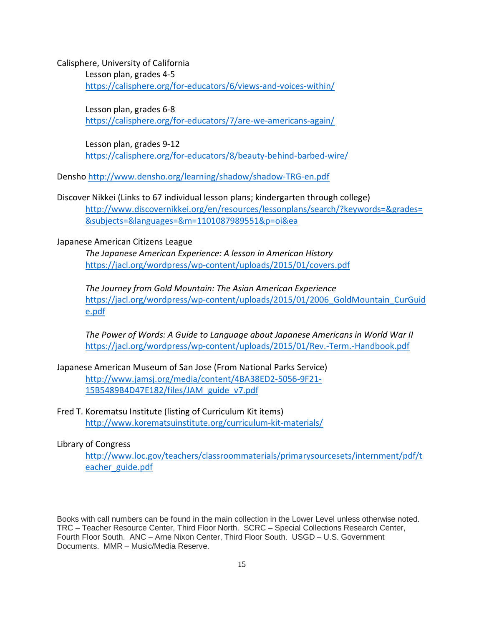Calisphere, University of California

Lesson plan, grades 4-5 <https://calisphere.org/for-educators/6/views-and-voices-within/>

Lesson plan, grades 6-8 <https://calisphere.org/for-educators/7/are-we-americans-again/>

Lesson plan, grades 9-12 <https://calisphere.org/for-educators/8/beauty-behind-barbed-wire/>

Densh[o http://www.densho.org/learning/shadow/shadow-TRG-en.pdf](http://www.densho.org/learning/shadow/shadow-TRG-en.pdf)

Discover Nikkei (Links to 67 individual lesson plans; kindergarten through college) [http://www.discovernikkei.org/en/resources/lessonplans/search/?keywords=&grades=](http://www.discovernikkei.org/en/resources/lessonplans/search/?keywords=&grades=&subjects=&languages=&m=1101087989551&p=oi&ea) [&subjects=&languages=&m=1101087989551&p=oi&ea](http://www.discovernikkei.org/en/resources/lessonplans/search/?keywords=&grades=&subjects=&languages=&m=1101087989551&p=oi&ea)

## Japanese American Citizens League

*The Japanese American Experience: A lesson in American History* <https://jacl.org/wordpress/wp-content/uploads/2015/01/covers.pdf>

*The Journey from Gold Mountain: The Asian American Experience* [https://jacl.org/wordpress/wp-content/uploads/2015/01/2006\\_GoldMountain\\_CurGuid](https://jacl.org/wordpress/wpcontent/uploads/2015/01/2006_GoldMountain_CurGuide.pdf) [e.pdf](https://jacl.org/wordpress/wpcontent/uploads/2015/01/2006_GoldMountain_CurGuide.pdf)

*The Power of Words: A Guide to Language about Japanese Americans in World War II* <https://jacl.org/wordpress/wp-content/uploads/2015/01/Rev.-Term.-Handbook.pdf>

- Japanese American Museum of San Jose (From National Parks Service) [http://www.jamsj.org/media/content/4BA38ED2-5056-9F21-](http://www.jamsj.org/media/content/4BA38ED2-5056-9F21-15B5489B4D47E182/files/JAM_guide_v7.pdf) [15B5489B4D47E182/files/JAM\\_guide\\_v7.pdf](http://www.jamsj.org/media/content/4BA38ED2-5056-9F21-15B5489B4D47E182/files/JAM_guide_v7.pdf)
- Fred T. Korematsu Institute (listing of Curriculum Kit items) <http://www.korematsuinstitute.org/curriculum-kit-materials/>

Library of Congress

[http://www.loc.gov/teachers/classroommaterials/primarysourcesets/internment/pdf/t](http://www.loc.gov/teachers/classroommaterials/primarysourcesets/internment/pdf/teacher_guide.pdf) [eacher\\_guide.pdf](http://www.loc.gov/teachers/classroommaterials/primarysourcesets/internment/pdf/teacher_guide.pdf)